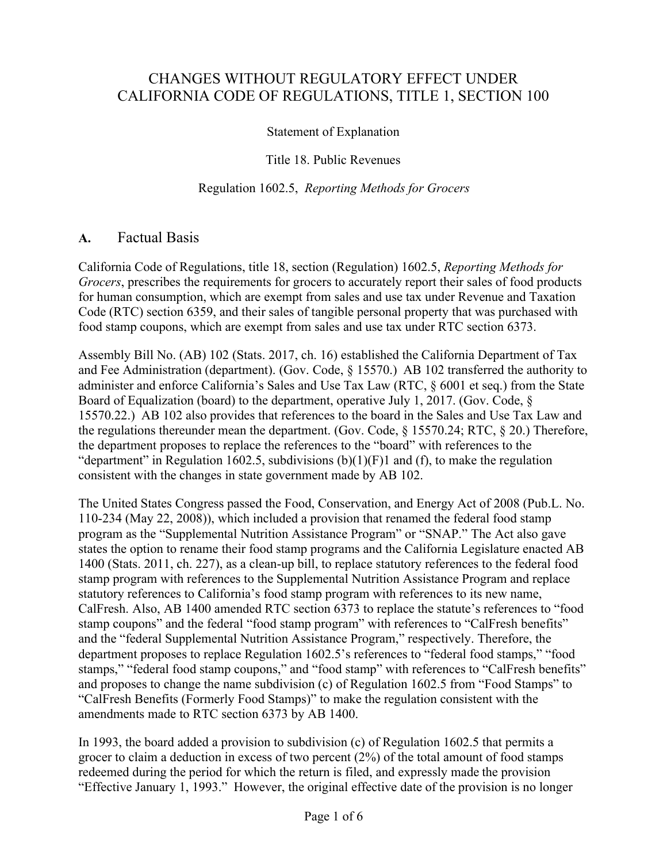# CHANGES WITHOUT REGULATORY EFFECT UNDER CALIFORNIA CODE OF REGULATIONS, TITLE 1, SECTION 100

# Statement of Explanation

### Title 18. Public Revenues

#### Regulation 1602.5, *Reporting Methods for Grocers*

# **A.** Factual Basis

California Code of Regulations, title 18, section (Regulation) 1602.5, *Reporting Methods for Grocers*, prescribes the requirements for grocers to accurately report their sales of food products for human consumption, which are exempt from sales and use tax under Revenue and Taxation Code (RTC) section 6359, and their sales of tangible personal property that was purchased with food stamp coupons, which are exempt from sales and use tax under RTC section 6373.

Assembly Bill No. (AB) 102 (Stats. 2017, ch. 16) established the California Department of Tax and Fee Administration (department). (Gov. Code, § 15570.) AB 102 transferred the authority to administer and enforce California's Sales and Use Tax Law (RTC, § 6001 et seq.) from the State Board of Equalization (board) to the department, operative July 1, 2017. (Gov. Code, § 15570.22.) AB 102 also provides that references to the board in the Sales and Use Tax Law and the regulations thereunder mean the department. (Gov. Code, § 15570.24; RTC, § 20.) Therefore, the department proposes to replace the references to the "board" with references to the "department" in Regulation 1602.5, subdivisions  $(b)(1)(F)1$  and  $(f)$ , to make the regulation consistent with the changes in state government made by AB 102.

The United States Congress passed the Food, Conservation, and Energy Act of 2008 (Pub.L. No. 110-234 (May 22, 2008)), which included a provision that renamed the federal food stamp program as the "Supplemental Nutrition Assistance Program" or "SNAP." The Act also gave states the option to rename their food stamp programs and the California Legislature enacted AB 1400 (Stats. 2011, ch. 227), as a clean-up bill, to replace statutory references to the federal food stamp program with references to the Supplemental Nutrition Assistance Program and replace statutory references to California's food stamp program with references to its new name, CalFresh. Also, AB 1400 amended RTC section 6373 to replace the statute's references to "food stamp coupons" and the federal "food stamp program" with references to "CalFresh benefits" and the "federal Supplemental Nutrition Assistance Program," respectively. Therefore, the department proposes to replace Regulation 1602.5's references to "federal food stamps," "food stamps," "federal food stamp coupons," and "food stamp" with references to "CalFresh benefits" and proposes to change the name subdivision (c) of Regulation 1602.5 from "Food Stamps" to "CalFresh Benefits (Formerly Food Stamps)" to make the regulation consistent with the amendments made to RTC section 6373 by AB 1400.

In 1993, the board added a provision to subdivision (c) of Regulation 1602.5 that permits a grocer to claim a deduction in excess of two percent (2%) of the total amount of food stamps redeemed during the period for which the return is filed, and expressly made the provision "Effective January 1, 1993." However, the original effective date of the provision is no longer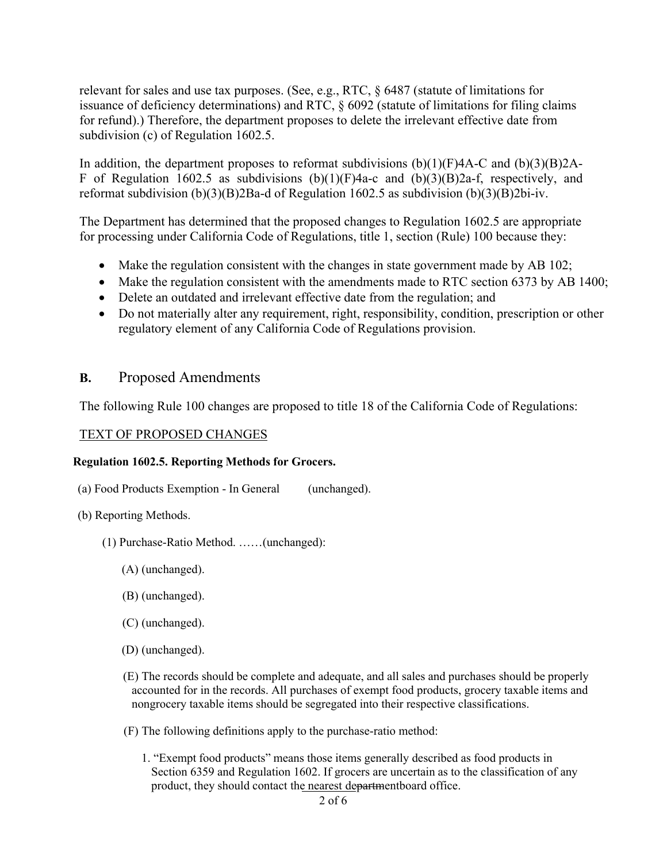relevant for sales and use tax purposes. (See, e.g., RTC, § 6487 (statute of limitations for issuance of deficiency determinations) and RTC, § 6092 (statute of limitations for filing claims for refund).) Therefore, the department proposes to delete the irrelevant effective date from subdivision (c) of Regulation 1602.5.

In addition, the department proposes to reformat subdivisions  $(b)(1)(F)4A-C$  and  $(b)(3)(B)2A-C$ F of Regulation 1602.5 as subdivisions  $(b)(1)(F)$ 4a-c and  $(b)(3)(B)$ 2a-f, respectively, and reformat subdivision (b)(3)(B)2Ba-d of Regulation 1602.5 as subdivision (b)(3)(B)2bi-iv.

The Department has determined that the proposed changes to Regulation 1602.5 are appropriate for processing under California Code of Regulations, title 1, section (Rule) 100 because they:

- Make the regulation consistent with the changes in state government made by AB 102;
- Make the regulation consistent with the amendments made to RTC section 6373 by AB 1400;
- Delete an outdated and irrelevant effective date from the regulation; and
- Do not materially alter any requirement, right, responsibility, condition, prescription or other regulatory element of any California Code of Regulations provision.

# **B.** Proposed Amendments

The following Rule 100 changes are proposed to title 18 of the California Code of Regulations:

#### TEXT OF PROPOSED CHANGES

#### **Regulation 1602.5. Reporting Methods for Grocers.**

- (a) Food Products Exemption In General (unchanged).
- (b) Reporting Methods.
	- (1) Purchase-Ratio Method. ……(unchanged):
		- (A) (unchanged).
		- (B) (unchanged).
		- (C) (unchanged).
		- (D) (unchanged).
		- (E) The records should be complete and adequate, and all sales and purchases should be properly accounted for in the records. All purchases of exempt food products, grocery taxable items and nongrocery taxable items should be segregated into their respective classifications.
		- (F) The following definitions apply to the purchase-ratio method:
			- 1. "Exempt food products" means those items generally described as food products in Section 6359 and Regulation 1602. If grocers are uncertain as to the classification of any product, they should contact the nearest departmentboard office.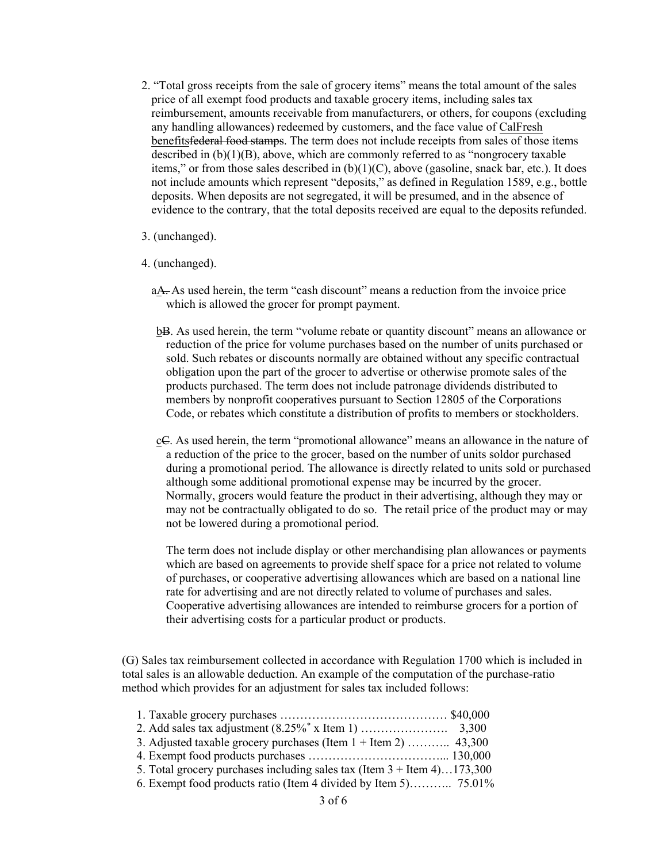2. "Total gross receipts from the sale of grocery items" means the total amount of the sales price of all exempt food products and taxable grocery items, including sales tax reimbursement, amounts receivable from manufacturers, or others, for coupons (excluding any handling allowances) redeemed by customers, and the face value of CalFresh benefitsfederal food stamps. The term does not include receipts from sales of those items described in  $(b)(1)(B)$ , above, which are commonly referred to as "nongrocery taxable" items," or from those sales described in  $(b)(1)(C)$ , above (gasoline, snack bar, etc.). It does not include amounts which represent "deposits," as defined in Regulation 1589, e.g., bottle deposits. When deposits are not segregated, it will be presumed, and in the absence of evidence to the contrary, that the total deposits received are equal to the deposits refunded.

#### 3. (unchanged).

- 4. (unchanged).
	- aA. As used herein, the term "cash discount" means a reduction from the invoice price which is allowed the grocer for prompt payment.
	- bB. As used herein, the term "volume rebate or quantity discount" means an allowance or reduction of the price for volume purchases based on the number of units purchased or sold. Such rebates or discounts normally are obtained without any specific contractual obligation upon the part of the grocer to advertise or otherwise promote sales of the products purchased. The term does not include patronage dividends distributed to members by nonprofit cooperatives pursuant to Section 12805 of the Corporations Code, or rebates which constitute a distribution of profits to members or stockholders.
	- cC. As used herein, the term "promotional allowance" means an allowance in the nature of a reduction of the price to the grocer, based on the number of units sold or purchased during a promotional period. The allowance is directly related to units sold or purchased although some additional promotional expense may be incurred by the grocer. Normally, grocers would feature the product in their advertising, although they may or may not be contractually obligated to do so. The retail price of the product may or may not be lowered during a promotional period.

The term does not include display or other merchandising plan allowances or payments which are based on agreements to provide shelf space for a price not related to volume of purchases, or cooperative advertising allowances which are based on a national line rate for advertising and are not directly related to volume of purchases and sales. Cooperative advertising allowances are intended to reimburse grocers for a portion of their advertising costs for a particular product or products.

(G) Sales tax reimbursement collected in accordance with Regulation 1700 which is included in total sales is an allowable deduction. An example of the computation of the purchase-ratio method which provides for an adjustment for sales tax included follows:

| 3. Adjusted taxable grocery purchases (Item $1 +$ Item 2)  43,300                  |  |
|------------------------------------------------------------------------------------|--|
|                                                                                    |  |
| 5. Total grocery purchases including sales tax (Item $3 +$ Item $4) \dots 173,300$ |  |
| 6. Exempt food products ratio (Item 4 divided by Item 5) 75.01%                    |  |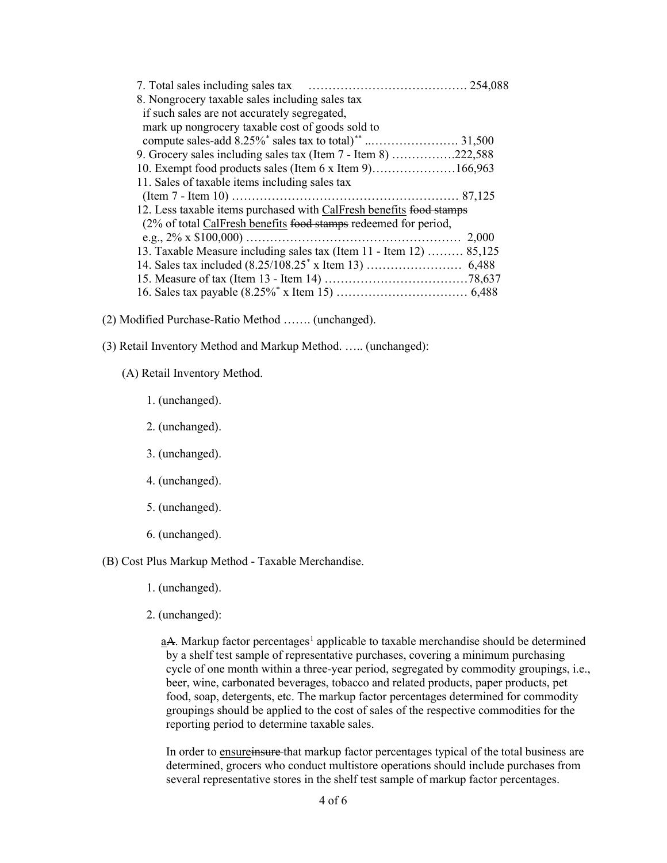| 7. Total sales including sales tax                                  |  |
|---------------------------------------------------------------------|--|
| 8. Nongrocery taxable sales including sales tax                     |  |
| if such sales are not accurately segregated,                        |  |
| mark up nongrocery taxable cost of goods sold to                    |  |
|                                                                     |  |
| 9. Grocery sales including sales tax (Item $7$ - Item 8) 222,588    |  |
| 10. Exempt food products sales (Item 6 x Item 9)166,963             |  |
| 11. Sales of taxable items including sales tax                      |  |
|                                                                     |  |
| 12. Less taxable items purchased with CalFresh benefits food stamps |  |
| (2% of total CalFresh benefits food stamps redeemed for period,     |  |
| 2.000                                                               |  |
| 13. Taxable Measure including sales tax (Item 11 - Item 12)  85,125 |  |
|                                                                     |  |
|                                                                     |  |
|                                                                     |  |

- (2) Modified Purchase-Ratio Method ……. (unchanged).
- (3) Retail Inventory Method and Markup Method. ….. (unchanged):
	- (A) Retail Inventory Method.
		- 1. (unchanged).
		- 2. (unchanged).
		- 3. (unchanged).
		- 4. (unchanged).
		- 5. (unchanged).
		- 6. (unchanged).

(B) Cost Plus Markup Method - Taxable Merchandise.

- 1. (unchanged).
- 2. (unchanged):

aA. Markup factor percentages<sup>1</sup> applicable to taxable merchandise should be determined by a shelf test sample of representative purchases, covering a minimum purchasing cycle of one month within a three-year period, segregated by commodity groupings, i.e., beer, wine, carbonated beverages, tobacco and related products, paper products, pet food, soap, detergents, etc. The markup factor percentages determined for commodity groupings should be applied to the cost of sales of the respective commodities for the reporting period to determine taxable sales.

In order to ensureinsure that markup factor percentages typical of the total business are determined, grocers who conduct multistore operations should include purchases from several representative stores in the shelf test sample of markup factor percentages.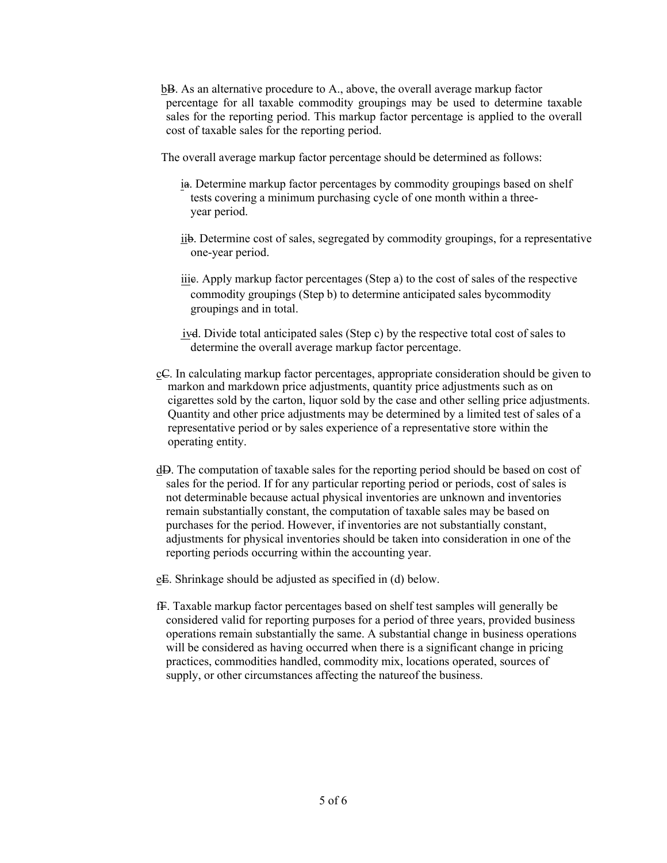bB. As an alternative procedure to A., above, the overall average markup factor percentage for all taxable commodity groupings may be used to determine taxable sales for the reporting period. This markup factor percentage is applied to the overall cost of taxable sales for the reporting period.

The overall average markup factor percentage should be determined as follows:

- ia. Determine markup factor percentages by commodity groupings based on shelf tests covering a minimum purchasing cycle of one month within a threeyear period.
- iib. Determine cost of sales, segregated by commodity groupings, for a representative one-year period.
- iiic. Apply markup factor percentages (Step a) to the cost of sales of the respective commodity groupings (Step b) to determine anticipated sales bycommodity groupings and in total.
- ivd. Divide total anticipated sales (Step c) by the respective total cost of sales to determine the overall average markup factor percentage.
- cC. In calculating markup factor percentages, appropriate consideration should be given to markon and markdown price adjustments, quantity price adjustments such as on cigarettes sold by the carton, liquor sold by the case and other selling price adjustments. Quantity and other price adjustments may be determined by a limited test of sales of a representative period or by sales experience of a representative store within the operating entity.
- dD. The computation of taxable sales for the reporting period should be based on cost of sales for the period. If for any particular reporting period or periods, cost of sales is not determinable because actual physical inventories are unknown and inventories remain substantially constant, the computation of taxable sales may be based on purchases for the period. However, if inventories are not substantially constant, adjustments for physical inventories should be taken into consideration in one of the reporting periods occurring within the accounting year.

eE. Shrinkage should be adjusted as specified in (d) below.

fF. Taxable markup factor percentages based on shelf test samples will generally be considered valid for reporting purposes for a period of three years, provided business operations remain substantially the same. A substantial change in business operations will be considered as having occurred when there is a significant change in pricing practices, commodities handled, commodity mix, locations operated, sources of supply, or other circumstances affecting the nature of the business.